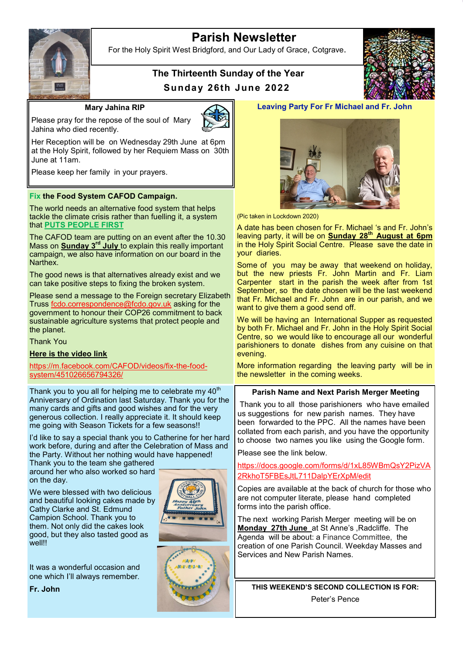# **Parish Newsletter**



For the Holy Spirit West Bridgford, and Our Lady of Grace, Cotgrave.

## **The Thirteenth Sunday of the Year Sunday 26th June 2022**



**Mary Jahina RIP**



Please pray for the repose of the soul of Mary Jahina who died recently.

Her Reception will be on Wednesday 29th June at 6pm at the Holy Spirit, followed by her Requiem Mass on 30th June at 11am.

Please keep her family in your prayers.

## **Fix the Food System CAFOD Campaign.**

The world needs an alternative food system that helps tackle the climate crisis rather than fuelling it, a system that **PUTS PEOPLE FIRST**

The CAFOD team are putting on an event after the 10.30 Mass on **Sunday 3rd July** to explain this really important campaign, we also have information on our board in the Narthex.

The good news is that alternatives already exist and we can take positive steps to fixing the broken system.

Please send a message to the Foreign secretary Elizabeth Truss [fcdo.correspondence@fcdo.gov.uk](mailto:fcdo.correspondence@fcdo.gov.uk) asking for the government to honour their COP26 commitment to back sustainable agriculture systems that protect people and the planet.

Thank You

### **Here is the video link**

[https://m.facebook.com/CAFOD/videos/fix](https://m.facebook.com/CAFOD/videos/fix-the-food-system/451026656794326/)-the-food[system/451026656794326/](https://m.facebook.com/CAFOD/videos/fix-the-food-system/451026656794326/)

Thank you to you all for helping me to celebrate my  $40<sup>th</sup>$ Anniversary of Ordination last Saturday. Thank you for the many cards and gifts and good wishes and for the very generous collection. I really appreciate it. It should keep me going with Season Tickets for a few seasons!!

I'd like to say a special thank you to Catherine for her hard work before, during and after the Celebration of Mass and the Party. Without her nothing would have happened!

Thank you to the team she gathered around her who also worked so hard on the day.

We were blessed with two delicious and beautiful looking cakes made by Cathy Clarke and St. Edmund Campion School. Thank you to them. Not only did the cakes look good, but they also tasted good as well!!

It was a wonderful occasion and one which I'll always remember.

**Fr. John**





## **Leaving Party For Fr Michael and Fr. John**



(Pic taken in Lockdown 2020)

A date has been chosen for Fr. Michael 's and Fr. John's leaving party, it will be on **Sunday 28th August at 6pm** in the Holy Spirit Social Centre. Please save the date in your diaries.

Some of you may be away that weekend on holiday, but the new priests Fr. John Martin and Fr. Liam Carpenter start in the parish the week after from 1st September, so the date chosen will be the last weekend that Fr. Michael and Fr. John are in our parish, and we want to give them a good send off.

We will be having an International Supper as requested by both Fr. Michael and Fr. John in the Holy Spirit Social Centre, so we would like to encourage all our wonderful parishioners to donate dishes from any cuisine on that evening.

More information regarding the leaving party will be in the newsletter in the coming weeks.

## **Parish Name and Next Parish Merger Meeting**

Thank you to all those parishioners who have emailed us suggestions for new parish names. They have been forwarded to the PPC. All the names have been collated from each parish, and you have the opportunity to choose two names you like using the Google form.

Please see the link below.

[https://docs.google.com/forms/d/1xL85WBmQsY2PizVA](https://docs.google.com/forms/d/1xL85WBmQsY2PizVA2RkhoT5FBEsJtL711DalpYErXpM/edit) [2RkhoT5FBEsJtL711DalpYErXpM/edit](https://docs.google.com/forms/d/1xL85WBmQsY2PizVA2RkhoT5FBEsJtL711DalpYErXpM/edit)

Copies are available at the back of church for those who are not computer literate, please hand completed forms into the parish office.

The next working Parish Merger meeting will be on **Monday 27th June** at St Anne's ,Radcliffe. The Agenda will be about: a Finance Committee, the creation of one Parish Council. Weekday Masses and Services and New Parish Names.

**THIS WEEKEND'S SECOND COLLECTION IS FOR:** Peter's Pence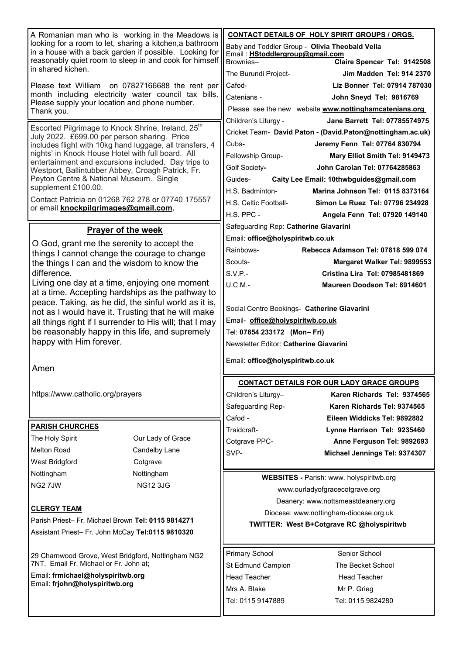| A Romanian man who is working in the Meadows is<br>looking for a room to let, sharing a kitchen, a bathroom<br>in a house with a back garden if possible. Looking for<br>reasonably quiet room to sleep in and cook for himself<br>in shared kichen.                                                                                                                                                                                                                                                       |                   |                                                 | <b>CONTACT DETAILS OF HOLY SPIRIT GROUPS / ORGS.</b>       |
|------------------------------------------------------------------------------------------------------------------------------------------------------------------------------------------------------------------------------------------------------------------------------------------------------------------------------------------------------------------------------------------------------------------------------------------------------------------------------------------------------------|-------------------|-------------------------------------------------|------------------------------------------------------------|
|                                                                                                                                                                                                                                                                                                                                                                                                                                                                                                            |                   | Baby and Toddler Group - Olivia Theobald Vella  |                                                            |
|                                                                                                                                                                                                                                                                                                                                                                                                                                                                                                            |                   | Email: HStoddlergroup@gmail.com                 |                                                            |
|                                                                                                                                                                                                                                                                                                                                                                                                                                                                                                            |                   | Brownies-                                       | Claire Spencer Tel: 9142508                                |
|                                                                                                                                                                                                                                                                                                                                                                                                                                                                                                            |                   | The Burundi Project-                            | <b>Jim Madden Tel: 914 2370</b>                            |
| Please text William on 07827166688 the rent per<br>month including electricity water council tax bills.<br>Please supply your location and phone number.<br>Thank you.                                                                                                                                                                                                                                                                                                                                     |                   | Cafod-                                          | Liz Bonner Tel: 07914 787030                               |
|                                                                                                                                                                                                                                                                                                                                                                                                                                                                                                            |                   | Catenians -                                     | John Sneyd Tel: 9816769                                    |
|                                                                                                                                                                                                                                                                                                                                                                                                                                                                                                            |                   |                                                 | Please see the new website www.nottinghamcatenians.org     |
| Escorted Pilgrimage to Knock Shrine, Ireland, 25 <sup>th</sup><br>July 2022. £699.00 per person sharing. Price<br>includes flight with 10kg hand luggage, all transfers, 4<br>nights' in Knock House Hotel with full board. All<br>entertainment and excursions included. Day trips to<br>Westport, Ballintubber Abbey, Croagh Patrick, Fr.<br>Peyton Centre & National Museum. Single<br>supplement £100.00.<br>Contact Patricia on 01268 762 278 or 07740 175557<br>or email knockpilgrimages@gmail.com. |                   | Children's Liturgy -                            | Jane Barrett Tel: 07785574975                              |
|                                                                                                                                                                                                                                                                                                                                                                                                                                                                                                            |                   |                                                 | Cricket Team- David Paton - (David.Paton@nottingham.ac.uk) |
|                                                                                                                                                                                                                                                                                                                                                                                                                                                                                                            |                   | Cubs-                                           | Jeremy Fenn Tel: 07764 830794                              |
|                                                                                                                                                                                                                                                                                                                                                                                                                                                                                                            |                   | Fellowship Group-                               | Mary Elliot Smith Tel: 9149473                             |
|                                                                                                                                                                                                                                                                                                                                                                                                                                                                                                            |                   | Golf Society-                                   | John Carolan Tel: 07764285863                              |
|                                                                                                                                                                                                                                                                                                                                                                                                                                                                                                            |                   | Guides-                                         | Caity Lee Email: 10thwbguides@gmail.com                    |
|                                                                                                                                                                                                                                                                                                                                                                                                                                                                                                            |                   | H.S. Badminton-                                 | Marina Johnson Tel: 0115 8373164                           |
|                                                                                                                                                                                                                                                                                                                                                                                                                                                                                                            |                   | H.S. Celtic Football-                           | Simon Le Ruez Tel: 07796 234928                            |
|                                                                                                                                                                                                                                                                                                                                                                                                                                                                                                            |                   | H.S. PPC -                                      | Angela Fenn Tel: 07920 149140                              |
| <b>Prayer of the week</b>                                                                                                                                                                                                                                                                                                                                                                                                                                                                                  |                   | Safeguarding Rep: Catherine Giavarini           |                                                            |
| O God, grant me the serenity to accept the                                                                                                                                                                                                                                                                                                                                                                                                                                                                 |                   | Email: office@holyspiritwb.co.uk                |                                                            |
| things I cannot change the courage to change                                                                                                                                                                                                                                                                                                                                                                                                                                                               |                   | Rainbows-                                       | Rebecca Adamson Tel: 07818 599 074                         |
| the things I can and the wisdom to know the                                                                                                                                                                                                                                                                                                                                                                                                                                                                |                   | Scouts-                                         | Margaret Walker Tel: 9899553                               |
| difference.                                                                                                                                                                                                                                                                                                                                                                                                                                                                                                |                   | S.V.P.                                          | Cristina Lira Tel: 07985481869                             |
| Living one day at a time, enjoying one moment                                                                                                                                                                                                                                                                                                                                                                                                                                                              |                   | $U.C.M. -$                                      | Maureen Doodson Tel: 8914601                               |
| at a time. Accepting hardships as the pathway to                                                                                                                                                                                                                                                                                                                                                                                                                                                           |                   |                                                 |                                                            |
| peace. Taking, as he did, the sinful world as it is,                                                                                                                                                                                                                                                                                                                                                                                                                                                       |                   | Social Centre Bookings- Catherine Giavarini     |                                                            |
| not as I would have it. Trusting that he will make                                                                                                                                                                                                                                                                                                                                                                                                                                                         |                   | Email- office@holyspiritwb.co.uk                |                                                            |
| all things right if I surrender to His will; that I may<br>be reasonably happy in this life, and supremely                                                                                                                                                                                                                                                                                                                                                                                                 |                   | Tel: 07854 233172 (Mon-Fri)                     |                                                            |
| happy with Him forever.                                                                                                                                                                                                                                                                                                                                                                                                                                                                                    |                   | Newsletter Editor: Catherine Giavarini          |                                                            |
|                                                                                                                                                                                                                                                                                                                                                                                                                                                                                                            |                   |                                                 |                                                            |
| Amen                                                                                                                                                                                                                                                                                                                                                                                                                                                                                                       |                   | Email: office@holyspiritwb.co.uk                |                                                            |
|                                                                                                                                                                                                                                                                                                                                                                                                                                                                                                            |                   |                                                 |                                                            |
|                                                                                                                                                                                                                                                                                                                                                                                                                                                                                                            |                   |                                                 | <b>CONTACT DETAILS FOR OUR LADY GRACE GROUPS</b>           |
| https://www.catholic.org/prayers                                                                                                                                                                                                                                                                                                                                                                                                                                                                           |                   | Children's Liturgy-                             | Karen Richards Tel: 9374565                                |
|                                                                                                                                                                                                                                                                                                                                                                                                                                                                                                            |                   | Safeguarding Rep-                               | Karen Richards Tel: 9374565                                |
| <b>PARISH CHURCHES</b>                                                                                                                                                                                                                                                                                                                                                                                                                                                                                     |                   | Cafod -                                         | Eileen Widdicks Tel: 9892882                               |
| The Holy Spirit                                                                                                                                                                                                                                                                                                                                                                                                                                                                                            | Our Lady of Grace | Traidcraft-                                     | Lynne Harrison Tel: 9235460                                |
| <b>Melton Road</b>                                                                                                                                                                                                                                                                                                                                                                                                                                                                                         |                   | Cotgrave PPC-                                   | Anne Ferguson Tel: 9892693                                 |
|                                                                                                                                                                                                                                                                                                                                                                                                                                                                                                            | Candelby Lane     | SVP-                                            | Michael Jennings Tel: 9374307                              |
| West Bridgford                                                                                                                                                                                                                                                                                                                                                                                                                                                                                             | Cotgrave          |                                                 |                                                            |
| Nottingham                                                                                                                                                                                                                                                                                                                                                                                                                                                                                                 | Nottingham        | <b>WEBSITES - Parish: www. holyspiritwb.org</b> |                                                            |
| NG27JW<br><b>NG12 3JG</b>                                                                                                                                                                                                                                                                                                                                                                                                                                                                                  |                   | www.ourladyofgracecotgrave.org                  |                                                            |
|                                                                                                                                                                                                                                                                                                                                                                                                                                                                                                            |                   | Deanery: www.nottsmeastdeanery.org              |                                                            |
| <b>CLERGY TEAM</b>                                                                                                                                                                                                                                                                                                                                                                                                                                                                                         |                   | Diocese: www.nottingham-diocese.org.uk          |                                                            |
| Parish Priest- Fr. Michael Brown Tel: 0115 9814271                                                                                                                                                                                                                                                                                                                                                                                                                                                         |                   | TWITTER: West B+Cotgrave RC @holyspiritwb       |                                                            |
| Assistant Priest- Fr. John McCay Tel:0115 9810320                                                                                                                                                                                                                                                                                                                                                                                                                                                          |                   |                                                 |                                                            |
|                                                                                                                                                                                                                                                                                                                                                                                                                                                                                                            |                   |                                                 |                                                            |
| 29 Charnwood Grove, West Bridgford, Nottingham NG2<br>7NT. Email Fr. Michael or Fr. John at;                                                                                                                                                                                                                                                                                                                                                                                                               |                   | <b>Primary School</b>                           | Senior School                                              |
| Email: frmichael@holyspiritwb.org                                                                                                                                                                                                                                                                                                                                                                                                                                                                          |                   | St Edmund Campion                               | The Becket School                                          |
| Email: frjohn@holyspiritwb.org                                                                                                                                                                                                                                                                                                                                                                                                                                                                             |                   | <b>Head Teacher</b>                             | <b>Head Teacher</b>                                        |
|                                                                                                                                                                                                                                                                                                                                                                                                                                                                                                            |                   | Mrs A. Blake                                    | Mr P. Grieg                                                |
|                                                                                                                                                                                                                                                                                                                                                                                                                                                                                                            |                   | Tel: 0115 9147889                               | Tel: 0115 9824280                                          |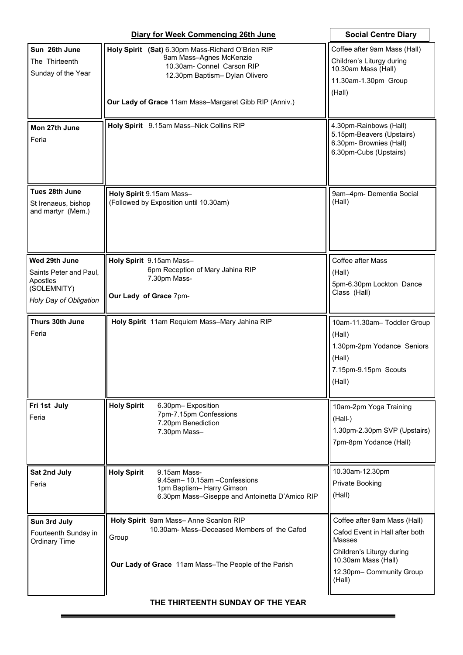|                                                                                              | <b>Social Centre Diary</b>                                                                                                                                                                             |                                                                                                                                                                    |
|----------------------------------------------------------------------------------------------|--------------------------------------------------------------------------------------------------------------------------------------------------------------------------------------------------------|--------------------------------------------------------------------------------------------------------------------------------------------------------------------|
| Sun 26th June<br>The Thirteenth<br>Sunday of the Year                                        | Holy Spirit (Sat) 6.30pm Mass-Richard O'Brien RIP<br>9am Mass-Agnes McKenzie<br>10.30am- Connel Carson RIP<br>12.30pm Baptism- Dylan Olivero<br>Our Lady of Grace 11am Mass-Margaret Gibb RIP (Anniv.) | Coffee after 9am Mass (Hall)<br>Children's Liturgy during<br>10.30am Mass (Hall)<br>11.30am-1.30pm Group<br>(Hall)                                                 |
| Mon 27th June<br>Feria                                                                       | Holy Spirit 9.15am Mass-Nick Collins RIP                                                                                                                                                               | 4.30pm-Rainbows (Hall)<br>5.15pm-Beavers (Upstairs)<br>6.30pm- Brownies (Hall)<br>6.30pm-Cubs (Upstairs)                                                           |
| Tues 28th June<br>St Irenaeus, bishop<br>and martyr (Mem.)                                   | Holy Spirit 9.15am Mass-<br>(Followed by Exposition until 10.30am)                                                                                                                                     | 9am-4pm- Dementia Social<br>(Hall)                                                                                                                                 |
| Wed 29th June<br>Saints Peter and Paul,<br>Apostles<br>(SOLEMNITY)<br>Holy Day of Obligation | Holy Spirit 9.15am Mass-<br>6pm Reception of Mary Jahina RIP<br>7.30pm Mass-<br>Our Lady of Grace 7pm-                                                                                                 | Coffee after Mass<br>(Hall)<br>5pm-6.30pm Lockton Dance<br>Class (Hall)                                                                                            |
| Thurs 30th June<br>Feria                                                                     | Holy Spirit 11am Requiem Mass-Mary Jahina RIP                                                                                                                                                          | 10am-11.30am- Toddler Group<br>(Hall)<br>1.30pm-2pm Yodance Seniors<br>(Hall)<br>7.15pm-9.15pm Scouts<br>(Hall)                                                    |
| Fri 1st July<br>Feria                                                                        | <b>Holy Spirit</b><br>6.30pm-Exposition<br>7pm-7.15pm Confessions<br>7.20pm Benediction<br>7.30pm Mass-                                                                                                | 10am-2pm Yoga Training<br>(Hall-)<br>1.30pm-2.30pm SVP (Upstairs)<br>7pm-8pm Yodance (Hall)                                                                        |
| Sat 2nd July<br>Feria                                                                        | <b>Holy Spirit</b><br>9.15am Mass-<br>9.45am-10.15am-Confessions<br>1pm Baptism- Harry Gimson<br>6.30pm Mass-Giseppe and Antoinetta D'Amico RIP                                                        | 10.30am-12.30pm<br>Private Booking<br>(Hall)                                                                                                                       |
| Sun 3rd July<br>Fourteenth Sunday in<br><b>Ordinary Time</b>                                 | Holy Spirit 9am Mass-Anne Scanlon RIP<br>10.30am- Mass-Deceased Members of the Cafod<br>Group<br>Our Lady of Grace 11am Mass-The People of the Parish                                                  | Coffee after 9am Mass (Hall)<br>Cafod Event in Hall after both<br>Masses<br>Children's Liturgy during<br>10.30am Mass (Hall)<br>12.30pm- Community Group<br>(Hall) |